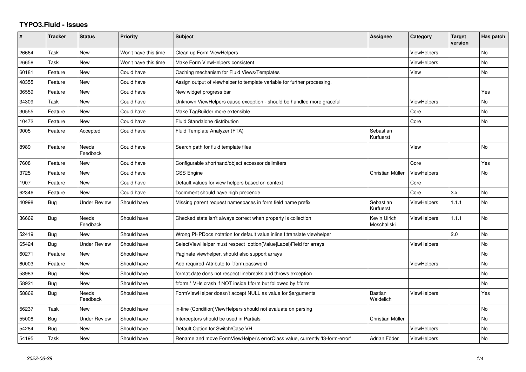## **TYPO3.Fluid - Issues**

| #     | <b>Tracker</b> | <b>Status</b>            | <b>Priority</b>      | <b>Subject</b>                                                               | Assignee                    | Category           | <b>Target</b><br>version | Has patch |
|-------|----------------|--------------------------|----------------------|------------------------------------------------------------------------------|-----------------------------|--------------------|--------------------------|-----------|
| 26664 | Task           | <b>New</b>               | Won't have this time | Clean up Form ViewHelpers                                                    |                             | ViewHelpers        |                          | <b>No</b> |
| 26658 | Task           | New                      | Won't have this time | Make Form ViewHelpers consistent                                             |                             | <b>ViewHelpers</b> |                          | No        |
| 60181 | Feature        | New                      | Could have           | Caching mechanism for Fluid Views/Templates                                  |                             | View               |                          | No        |
| 48355 | Feature        | New                      | Could have           | Assign output of viewhelper to template variable for further processing.     |                             |                    |                          |           |
| 36559 | Feature        | New                      | Could have           | New widget progress bar                                                      |                             |                    |                          | Yes       |
| 34309 | Task           | New                      | Could have           | Unknown ViewHelpers cause exception - should be handled more graceful        |                             | <b>ViewHelpers</b> |                          | No        |
| 30555 | Feature        | New                      | Could have           | Make TagBuilder more extensible                                              |                             | Core               |                          | No        |
| 10472 | Feature        | <b>New</b>               | Could have           | <b>Fluid Standalone distribution</b>                                         |                             | Core               |                          | No        |
| 9005  | Feature        | Accepted                 | Could have           | Fluid Template Analyzer (FTA)                                                | Sebastian<br>Kurfuerst      |                    |                          |           |
| 8989  | Feature        | Needs<br>Feedback        | Could have           | Search path for fluid template files                                         |                             | View               |                          | <b>No</b> |
| 7608  | Feature        | New                      | Could have           | Configurable shorthand/object accessor delimiters                            |                             | Core               |                          | Yes       |
| 3725  | Feature        | New                      | Could have           | <b>CSS Engine</b>                                                            | Christian Müller            | <b>ViewHelpers</b> |                          | No        |
| 1907  | Feature        | New                      | Could have           | Default values for view helpers based on context                             |                             | Core               |                          |           |
| 62346 | Feature        | <b>New</b>               | Could have           | f:comment should have high precende                                          |                             | Core               | 3.x                      | No        |
| 40998 | Bug            | <b>Under Review</b>      | Should have          | Missing parent request namespaces in form field name prefix                  | Sebastian<br>Kurfuerst      | <b>ViewHelpers</b> | 1.1.1                    | <b>No</b> |
| 36662 | Bug            | <b>Needs</b><br>Feedback | Should have          | Checked state isn't always correct when property is collection               | Kevin Ulrich<br>Moschallski | <b>ViewHelpers</b> | 1.1.1                    | <b>No</b> |
| 52419 | Bug            | New                      | Should have          | Wrong PHPDocs notation for default value inline f:translate viewhelper       |                             |                    | 2.0                      | No        |
| 65424 | Bug            | <b>Under Review</b>      | Should have          | SelectViewHelper must respect option(Value Label)Field for arrays            |                             | <b>ViewHelpers</b> |                          | No        |
| 60271 | Feature        | New                      | Should have          | Paginate viewhelper, should also support arrays                              |                             |                    |                          | <b>No</b> |
| 60003 | Feature        | New                      | Should have          | Add required-Attribute to f:form.password                                    |                             | <b>ViewHelpers</b> |                          | No        |
| 58983 | Bug            | New                      | Should have          | format.date does not respect linebreaks and throws exception                 |                             |                    |                          | <b>No</b> |
| 58921 | Bug            | New                      | Should have          | f:form.* VHs crash if NOT inside f:form but followed by f:form               |                             |                    |                          | No        |
| 58862 | Bug            | <b>Needs</b><br>Feedback | Should have          | FormViewHelper doesn't accept NULL as value for \$arguments                  | <b>Bastian</b><br>Waidelich | <b>ViewHelpers</b> |                          | Yes       |
| 56237 | Task           | New                      | Should have          | in-line (Condition) ViewHelpers should not evaluate on parsing               |                             |                    |                          | <b>No</b> |
| 55008 | Bug            | Under Review             | Should have          | Interceptors should be used in Partials                                      | Christian Müller            |                    |                          | No        |
| 54284 | Bug            | New                      | Should have          | Default Option for Switch/Case VH                                            |                             | ViewHelpers        |                          | <b>No</b> |
| 54195 | Task           | New                      | Should have          | Rename and move FormViewHelper's errorClass value, currently 'f3-form-error' | Adrian Föder                | <b>ViewHelpers</b> |                          | No        |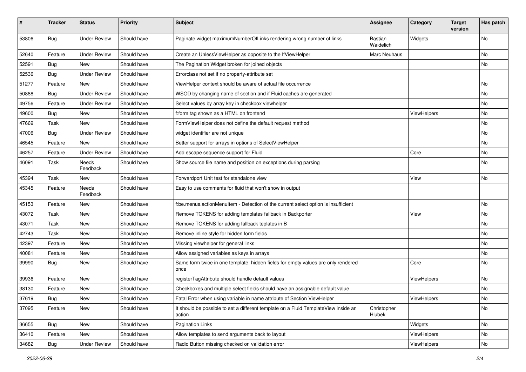| #     | <b>Tracker</b> | <b>Status</b>            | <b>Priority</b> | Subject                                                                                       | Assignee              | Category    | <b>Target</b><br>version | Has patch |
|-------|----------------|--------------------------|-----------------|-----------------------------------------------------------------------------------------------|-----------------------|-------------|--------------------------|-----------|
| 53806 | Bug            | <b>Under Review</b>      | Should have     | Paginate widget maximumNumberOfLinks rendering wrong number of links                          | Bastian<br>Waidelich  | Widgets     |                          | <b>No</b> |
| 52640 | Feature        | <b>Under Review</b>      | Should have     | Create an UnlessViewHelper as opposite to the IfViewHelper                                    | Marc Neuhaus          |             |                          | No        |
| 52591 | Bug            | <b>New</b>               | Should have     | The Pagination Widget broken for joined objects                                               |                       |             |                          | No        |
| 52536 | Bug            | <b>Under Review</b>      | Should have     | Errorclass not set if no property-attribute set                                               |                       |             |                          |           |
| 51277 | Feature        | New                      | Should have     | ViewHelper context should be aware of actual file occurrence                                  |                       |             |                          | <b>No</b> |
| 50888 | <b>Bug</b>     | <b>Under Review</b>      | Should have     | WSOD by changing name of section and if Fluid caches are generated                            |                       |             |                          | No        |
| 49756 | Feature        | <b>Under Review</b>      | Should have     | Select values by array key in checkbox viewhelper                                             |                       |             |                          | No        |
| 49600 | Bug            | <b>New</b>               | Should have     | f:form tag shown as a HTML on frontend                                                        |                       | ViewHelpers |                          | No        |
| 47669 | Task           | <b>New</b>               | Should have     | FormViewHelper does not define the default request method                                     |                       |             |                          | No        |
| 47006 | Bug            | <b>Under Review</b>      | Should have     | widget identifier are not unique                                                              |                       |             |                          | <b>No</b> |
| 46545 | Feature        | New                      | Should have     | Better support for arrays in options of SelectViewHelper                                      |                       |             |                          | No        |
| 46257 | Feature        | <b>Under Review</b>      | Should have     | Add escape sequence support for Fluid                                                         |                       | Core        |                          | No        |
| 46091 | Task           | Needs<br>Feedback        | Should have     | Show source file name and position on exceptions during parsing                               |                       |             |                          | No        |
| 45394 | Task           | New                      | Should have     | Forwardport Unit test for standalone view                                                     |                       | View        |                          | No        |
| 45345 | Feature        | <b>Needs</b><br>Feedback | Should have     | Easy to use comments for fluid that won't show in output                                      |                       |             |                          |           |
| 45153 | Feature        | New                      | Should have     | f:be.menus.actionMenuItem - Detection of the current select option is insufficient            |                       |             |                          | No        |
| 43072 | Task           | New                      | Should have     | Remove TOKENS for adding templates fallback in Backporter                                     |                       | View        |                          | No        |
| 43071 | Task           | New                      | Should have     | Remove TOKENS for adding fallback teplates in B                                               |                       |             |                          | No        |
| 42743 | Task           | New                      | Should have     | Remove inline style for hidden form fields                                                    |                       |             |                          | No        |
| 42397 | Feature        | New                      | Should have     | Missing viewhelper for general links                                                          |                       |             |                          | No        |
| 40081 | Feature        | New                      | Should have     | Allow assigned variables as keys in arrays                                                    |                       |             |                          | No        |
| 39990 | Bug            | New                      | Should have     | Same form twice in one template: hidden fields for empty values are only rendered<br>once     |                       | Core        |                          | <b>No</b> |
| 39936 | Feature        | New                      | Should have     | registerTagAttribute should handle default values                                             |                       | ViewHelpers |                          | <b>No</b> |
| 38130 | Feature        | New                      | Should have     | Checkboxes and multiple select fields should have an assignable default value                 |                       |             |                          | No        |
| 37619 | <b>Bug</b>     | New                      | Should have     | Fatal Error when using variable in name attribute of Section ViewHelper                       |                       | ViewHelpers |                          | N0        |
| 37095 | Feature        | New                      | Should have     | It should be possible to set a different template on a Fluid TemplateView inside an<br>action | Christopher<br>Hlubek |             |                          | No        |
| 36655 | Bug            | New                      | Should have     | Pagination Links                                                                              |                       | Widgets     |                          | No        |
| 36410 | Feature        | New                      | Should have     | Allow templates to send arguments back to layout                                              |                       | ViewHelpers |                          | No        |
| 34682 | Bug            | <b>Under Review</b>      | Should have     | Radio Button missing checked on validation error                                              |                       | ViewHelpers |                          | No        |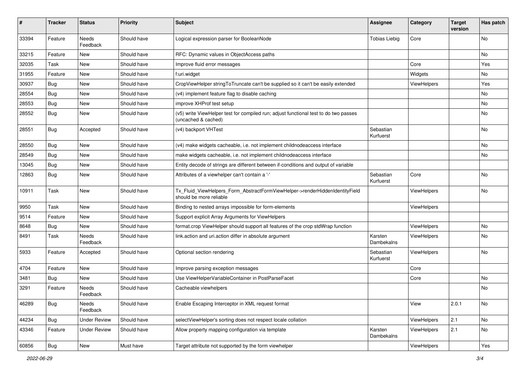| $\sharp$ | <b>Tracker</b> | <b>Status</b>       | <b>Priority</b> | <b>Subject</b>                                                                                              | <b>Assignee</b>        | Category    | <b>Target</b><br>version | Has patch |
|----------|----------------|---------------------|-----------------|-------------------------------------------------------------------------------------------------------------|------------------------|-------------|--------------------------|-----------|
| 33394    | Feature        | Needs<br>Feedback   | Should have     | Logical expression parser for BooleanNode                                                                   | <b>Tobias Liebig</b>   | Core        |                          | <b>No</b> |
| 33215    | Feature        | New                 | Should have     | RFC: Dynamic values in ObjectAccess paths                                                                   |                        |             |                          | No        |
| 32035    | Task           | New                 | Should have     | Improve fluid error messages                                                                                |                        | Core        |                          | Yes       |
| 31955    | Feature        | New                 | Should have     | f:uri.widget                                                                                                |                        | Widgets     |                          | No        |
| 30937    | Bug            | New                 | Should have     | CropViewHelper stringToTruncate can't be supplied so it can't be easily extended                            |                        | ViewHelpers |                          | Yes       |
| 28554    | Bug            | New                 | Should have     | (v4) implement feature flag to disable caching                                                              |                        |             |                          | No        |
| 28553    | Bug            | New                 | Should have     | improve XHProf test setup                                                                                   |                        |             |                          | No        |
| 28552    | Bug            | New                 | Should have     | (v5) write ViewHelper test for compiled run; adjust functional test to do two passes<br>(uncached & cached) |                        |             |                          | No        |
| 28551    | Bug            | Accepted            | Should have     | (v4) backport VHTest                                                                                        | Sebastian<br>Kurfuerst |             |                          | No        |
| 28550    | Bug            | New                 | Should have     | (v4) make widgets cacheable, i.e. not implement childnodeaccess interface                                   |                        |             |                          | No        |
| 28549    | Bug            | New                 | Should have     | make widgets cacheable, i.e. not implement childnodeaccess interface                                        |                        |             |                          | No        |
| 13045    | Bug            | New                 | Should have     | Entity decode of strings are different between if-conditions and output of variable                         |                        |             |                          |           |
| 12863    | Bug            | New                 | Should have     | Attributes of a viewhelper can't contain a '-'                                                              | Sebastian<br>Kurfuerst | Core        |                          | No        |
| 10911    | Task           | New                 | Should have     | Tx_Fluid_ViewHelpers_Form_AbstractFormViewHelper->renderHiddenIdentityField<br>should be more reliable      |                        | ViewHelpers |                          | <b>No</b> |
| 9950     | Task           | New                 | Should have     | Binding to nested arrays impossible for form-elements                                                       |                        | ViewHelpers |                          |           |
| 9514     | Feature        | New                 | Should have     | Support explicit Array Arguments for ViewHelpers                                                            |                        |             |                          |           |
| 8648     | Bug            | New                 | Should have     | format.crop ViewHelper should support all features of the crop stdWrap function                             |                        | ViewHelpers |                          | No        |
| 8491     | Task           | Needs<br>Feedback   | Should have     | link.action and uri.action differ in absolute argument                                                      | Karsten<br>Dambekalns  | ViewHelpers |                          | No        |
| 5933     | Feature        | Accepted            | Should have     | Optional section rendering                                                                                  | Sebastian<br>Kurfuerst | ViewHelpers |                          | No        |
| 4704     | Feature        | New                 | Should have     | Improve parsing exception messages                                                                          |                        | Core        |                          |           |
| 3481     | Bug            | New                 | Should have     | Use ViewHelperVariableContainer in PostParseFacet                                                           |                        | Core        |                          | No        |
| 3291     | Feature        | Needs<br>Feedback   | Should have     | Cacheable viewhelpers                                                                                       |                        |             |                          | No        |
| 46289    | Bug            | Needs<br>Feedback   | Should have     | Enable Escaping Interceptor in XML request format                                                           |                        | View        | 2.0.1                    | No        |
| 44234    | Bug            | <b>Under Review</b> | Should have     | selectViewHelper's sorting does not respect locale collation                                                |                        | ViewHelpers | 2.1                      | No        |
| 43346    | Feature        | <b>Under Review</b> | Should have     | Allow property mapping configuration via template                                                           | Karsten<br>Dambekalns  | ViewHelpers | 2.1                      | No        |
| 60856    | Bug            | New                 | Must have       | Target attribute not supported by the form viewhelper                                                       |                        | ViewHelpers |                          | Yes       |